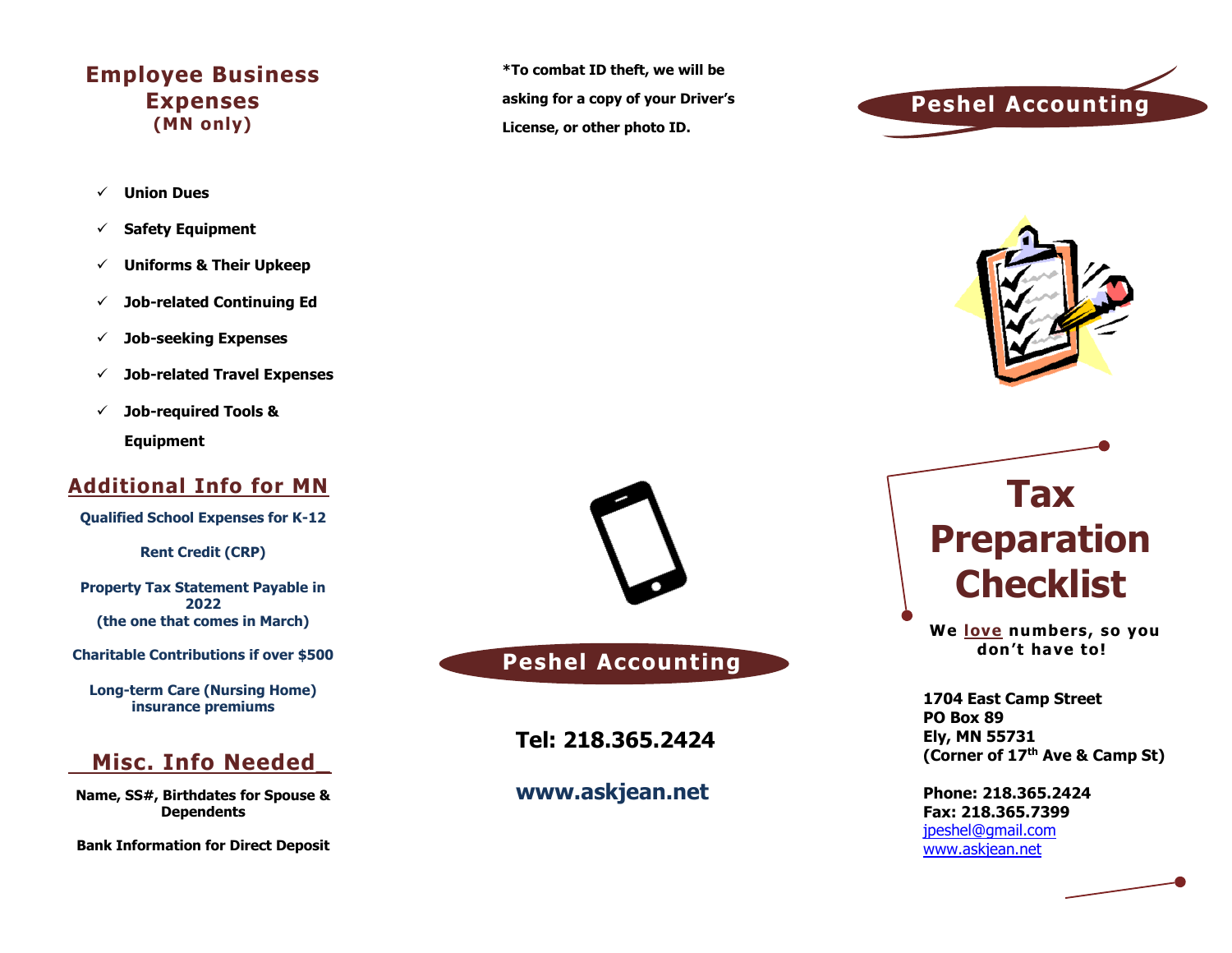### **Employee Business Expenses (MN only)**

- ✓ **Union Dues**
- ✓ **Safety Equipment**
- ✓ **Uniforms & Their Upkeep**
- ✓ **Job-related Continuing Ed**
- ✓ **Job-seeking Expenses**
- ✓ **Job-related Travel Expenses**
- ✓ **Job-required Tools & Equipment**

### **Additional Info for MN**

**Qualified School Expenses for K-12**

**Rent Credit (CRP)**

**Property Tax Statement Payable in 2022 (the one that comes in March)**

**Charitable Contributions if over \$500**

**Long-term Care (Nursing Home) insurance premiums**

### **Misc. Info Needed\_**

**Name, SS#, Birthdates for Spouse & Dependents**

**Bank Information for Direct Deposit**

**\*To combat ID theft, we will be asking for a copy of your Driver's License, or other photo ID.**





## **Peshel Accounting**

**Tel: 218.365.2424**

### **www.askjean.net**



**We love numbers, so you don't have to!**

**1704 East Camp Street PO Box 89 Ely, MN 55731 (Corner of 17th Ave & Camp St)**

**Phone: 218.365.2424 Fax: 218.365.7399** [jpeshel@gmail.com](mailto:jpeshel@gmail.com) [www.askjean.net](http://www.askjean.net/)